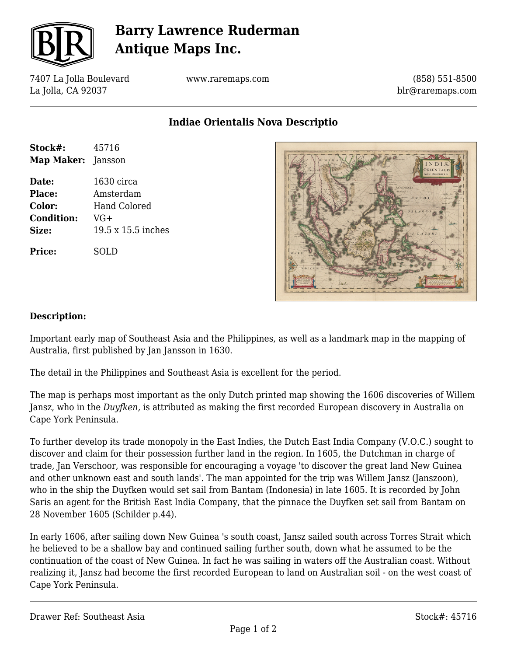

# **Barry Lawrence Ruderman Antique Maps Inc.**

7407 La Jolla Boulevard La Jolla, CA 92037

www.raremaps.com

(858) 551-8500 blr@raremaps.com

**Indiae Orientalis Nova Descriptio**

| Stock#:                   | 45716              |
|---------------------------|--------------------|
| <b>Map Maker:</b> Jansson |                    |
| Date:                     | 1630 circa         |
| <b>Place:</b>             | Amsterdam          |
| Color:                    | Hand Colored       |
| <b>Condition:</b>         | $VG+$              |
| Size:                     | 19.5 x 15.5 inches |
| <b>Price:</b>             | SOLD               |



#### **Description:**

Important early map of Southeast Asia and the Philippines, as well as a landmark map in the mapping of Australia, first published by Jan Jansson in 1630.

The detail in the Philippines and Southeast Asia is excellent for the period.

The map is perhaps most important as the only Dutch printed map showing the 1606 discoveries of Willem Jansz, who in the *Duyfken,* is attributed as making the first recorded European discovery in Australia on Cape York Peninsula.

To further develop its trade monopoly in the East Indies, the Dutch East India Company (V.O.C.) sought to discover and claim for their possession further land in the region. In 1605, the Dutchman in charge of trade, Jan Verschoor, was responsible for encouraging a voyage 'to discover the great land New Guinea and other unknown east and south lands'. The man appointed for the trip was Willem Jansz (Janszoon), who in the ship the Duyfken would set sail from Bantam (Indonesia) in late 1605. It is recorded by John Saris an agent for the British East India Company, that the pinnace the Duyfken set sail from Bantam on 28 November 1605 (Schilder p.44).

In early 1606, after sailing down New Guinea 's south coast, Jansz sailed south across Torres Strait which he believed to be a shallow bay and continued sailing further south, down what he assumed to be the continuation of the coast of New Guinea. In fact he was sailing in waters off the Australian coast. Without realizing it, Jansz had become the first recorded European to land on Australian soil - on the west coast of Cape York Peninsula.